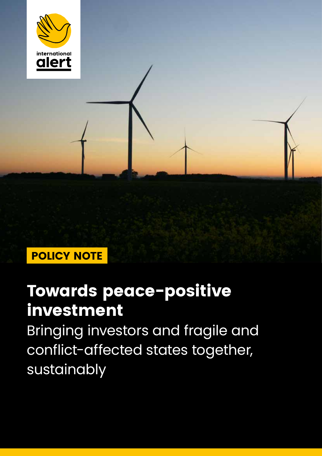

# Towards peace-positive investment

Bringing investors and fragile and conflict-affected states together, sustainably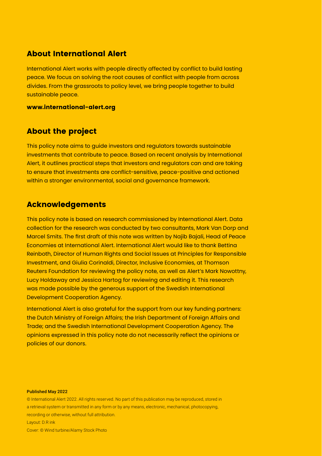### About International Alert

International Alert works with people directly affected by conflict to build lasting peace. We focus on solving the root causes of conflict with people from across divides. From the grassroots to policy level, we bring people together to build sustainable peace.

#### [www.international-alert.org](http://www.international-alert.org)

### About the project

This policy note aims to guide investors and regulators towards sustainable investments that contribute to peace. Based on recent analysis by International Alert, it outlines practical steps that investors and regulators can and are taking to ensure that investments are conflict-sensitive, peace-positive and actioned within a stronger environmental, social and governance framework.

### Acknowledgements

This policy note is based on research commissioned by International Alert. Data collection for the research was conducted by two consultants, Mark Van Dorp and Marcel Smits. The first draft of this note was written by Najib Bajali, Head of Peace Economies at International Alert. International Alert would like to thank Bettina Reinboth, Director of Human Rights and Social Issues at Principles for Responsible Investment, and Giulia Corinaldi, Director, Inclusive Economies, at Thomson Reuters Foundation for reviewing the policy note, as well as Alert's Mark Nowottny, Lucy Holdaway and Jessica Hartog for reviewing and editing it. This research was made possible by the generous support of the Swedish International Development Cooperation Agency.

International Alert is also grateful for the support from our key funding partners: the Dutch Ministry of Foreign Affairs; the Irish Department of Foreign Affairs and Trade; and the Swedish International Development Cooperation Agency. The opinions expressed in this policy note do not necessarily reflect the opinions or policies of our donors.

#### Published May 2022

Cover: © Wind turbine/Alamy Stock Photo

<sup>©</sup> International Alert 2022. All rights reserved. No part of this publication may be reproduced, stored in a retrieval system or transmitted in any form or by any means, electronic, mechanical, photocopying, recording or otherwise, without full attribution. Layout: D.R ink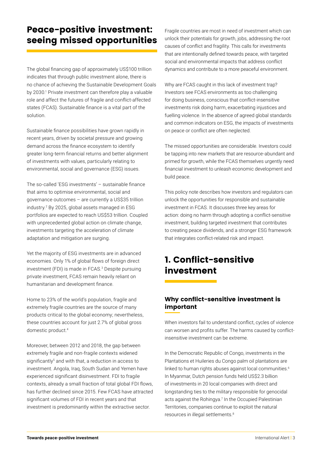## Peace-positive investment: seeing missed opportunities

The global financing gap of approximately US\$100 trillion indicates that through public investment alone, there is no chance of achieving the Sustainable Development Goals by 2030.<sup>1</sup> Private investment can therefore play a valuable role and affect the futures of fragile and conflict-affected states (FCAS). Sustainable finance is a vital part of the solution.

Sustainable finance possibilities have grown rapidly in recent years, driven by societal pressure and growing demand across the finance ecosystem to identify greater long-term financial returns and better alignment of investments with values, particularly relating to environmental, social and governance (ESG) issues.

The so-called 'ESG investments' – sustainable finance that aims to optimise environmental, social and governance outcomes – are currently a US\$35 trillion industry.2 By 2025, global assets managed in ESG portfolios are expected to reach US\$53 trillion. Coupled with unprecedented global action on climate change, investments targeting the acceleration of climate adaptation and mitigation are surging.

Yet the majority of ESG investments are in advanced economies. Only 1% of global flows of foreign direct investment (FDI) is made in FCAS.3 Despite pursuing private investment, FCAS remain heavily reliant on humanitarian and development finance.

Home to 23% of the world's population, fragile and extremely fragile countries are the source of many products critical to the global economy; nevertheless, these countries account for just 2.7% of global gross domestic product.4

Moreover, between 2012 and 2018, the gap between extremely fragile and non-fragile contexts widened significantly<sup>5</sup> and with that, a reduction in access to investment. Angola, Iraq, South Sudan and Yemen have experienced significant disinvestment. FDI to fragile contexts, already a small fraction of total global FDI flows, has further declined since 2015. Few FCAS have attracted significant volumes of FDI in recent years and that investment is predominantly within the extractive sector.

Fragile countries are most in need of investment which can unlock their potentials for growth, jobs, addressing the root causes of conflict and fragility. This calls for investments that are intentionally defined towards peace, with targeted social and environmental impacts that address conflict dynamics and contribute to a more peaceful environment.

Why are FCAS caught in this lack of investment trap? Investors see FCAS environments as too challenging for doing business, conscious that conflict-insensitive investments risk doing harm, exacerbating injustices and fuelling violence. In the absence of agreed global standards and common indicators on ESG, the impacts of investments on peace or conflict are often neglected.

The missed opportunities are considerable. Investors could be tapping into new markets that are resource-abundant and primed for growth, while the FCAS themselves urgently need financial investment to unleash economic development and build peace.

This policy note describes how investors and regulators can unlock the opportunities for responsible and sustainable investment in FCAS. It discusses three key areas for action: doing no harm through adopting a conflict-sensitive investment, building targeted investment that contributes to creating peace dividends, and a stronger ESG framework that integrates conflict-related risk and impact.

# 1. Conflict-sensitive investment

### Why conflict-sensitive investment is important

When investors fail to understand conflict, cycles of violence can worsen and profits suffer. The harms caused by conflictinsensitive investment can be extreme.

In the Democratic Republic of Congo, investments in the Plantations et Huileries du Congo palm oil plantations are linked to human rights abuses against local communities.<sup>6</sup> In Myanmar, Dutch pension funds held US\$2.3 billion of investments in 20 local companies with direct and longstanding ties to the military responsible for genocidal acts against the Rohingya.<sup>7</sup> In the Occupied Palestinian Territories, companies continue to exploit the natural resources in illegal settlements.<sup>8</sup>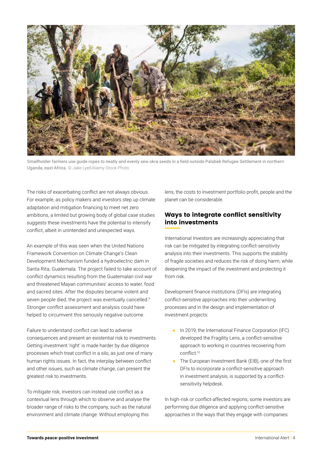

Smallholder farmers use guide ropes to neatly and evenly sew okra seeds in a field outside Palabek Refugee Settlement in northern Uganda, east Africa. © Jake Lyell/Alamy Stock Photo

The risks of exacerbating conflict are not always obvious. For example, as policy makers and investors step up climate adaptation and mitigation financing to meet net zero ambitions, a limited but growing body of global case studies suggests these investments have the potential to intensify conflict, albeit in unintended and unexpected ways.

An example of this was seen when the United Nations Framework Convention on Climate Change's Clean Development Mechanism funded a hydroelectric dam in Santa Rita, Guatemala. The project failed to take account of conflict dynamics resulting from the Guatemalan civil war and threatened Mayan communities' access to water, food and sacred sites. After the disputes became violent and seven people died, the project was eventually cancelled.<sup>9</sup> Stronger conflict assessment and analysis could have helped to circumvent this seriously negative outcome.

Failure to understand conflict can lead to adverse consequences and present an existential risk to investments. Getting investment 'right' is made harder by due diligence processes which treat conflict in a silo, as just one of many human rights issues. In fact, the interplay between conflict and other issues, such as climate change, can present the greatest risk to investments.

To mitigate risk, investors can instead use conflict as a contextual lens through which to observe and analyse the broader range of risks to the company, such as the natural environment and climate change. Without employing this

lens, the costs to investment portfolio profit, people and the planet can be considerable.

#### Ways to integrate conflict sensitivity into investments

International Investors are increasingly appreciating that risk can be mitigated by integrating conflict-sensitivity analysis into their investments. This supports the stability of fragile societies and reduces the risk of doing harm, while deepening the impact of the investment and protecting it from risk.

Development finance institutions (DFIs) are integrating conflict-sensitive approaches into their underwriting processes and in the design and implementation of investment projects:

- In 2019, the International Finance Corporation (IFC) developed the Fragility Lens, a conflict-sensitive approach to working in countries recovering from conflict.10
- The European Investment Bank (EIB), one of the first DFIs to incorporate a conflict-sensitive approach in investment analysis, is supported by a conflictsensitivity helpdesk.

In high-risk or conflict-affected regions, some investors are performing due diligence and applying conflict-sensitive approaches in the ways that they engage with companies: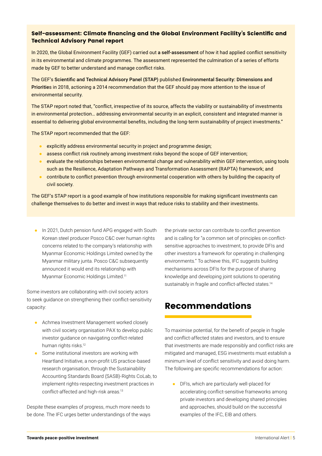#### Self-assessment: Climate financing and the Global Environment Facility's Scientific and Technical Advisory Panel report

In 2020, the Global Environment Facility (GEF) carried out [a self-assessment](https://www.thegef.org/council-meeting-documents/evaluation-gef-support-fragile-and-conflict-affected-situations) of how it had applied conflict sensitivity in its environmental and climate programmes. The assessment represented the culmination of a series of efforts made by GEF to better understand and manage conflict risks.

The GEF's [Scientific and Technical Advisory Panel \(STAP\)](https://www.stapgef.org/) published [Environmental Security: Dimensions and](https://www.thegef.org/sites/default/files/publications/52103%20STAP%20Report_WEB.pdf)  [Prioritie](https://www.thegef.org/sites/default/files/publications/52103%20STAP%20Report_WEB.pdf)s in 2018, actioning a 2014 recommendation that the GEF should pay more attention to the issue of environmental security.

The STAP report noted that, "conflict, irrespective of its source, affects the viability or sustainability of investments in environmental protection… addressing environmental security in an explicit, consistent and integrated manner is essential to delivering global environmental benefits, including the long-term sustainability of project investments."

The STAP report recommended that the GEF:

- explicitly address environmental security in project and programme design;
- assess conflict risk routinely among investment risks beyond the scope of GEF intervention;
- evaluate the relationships between environmental change and vulnerability within GEF intervention, using tools such as the Resilience, Adaptation Pathways and Transformation Assessment (RAPTA) framework; and
- contribute to conflict prevention through environmental cooperation with others by building the capacity of civil society.

The GEF's STAP report is a good example of how institutions responsible for making significant investments can challenge themselves to do better and invest in ways that reduce risks to stability and their investments.

● In 2021, Dutch pension fund APG engaged with South Korean steel producer Posco C&C over human rights concerns related to the company's relationship with Myanmar Economic Holdings Limited owned by the Myanmar military junta. Posco C&C subsequently announced it would end its relationship with Myanmar Economic Holdings Limited.<sup>11</sup>

Some investors are collaborating with civil society actors to seek guidance on strengthening their conflict-sensitivity capacity:

- Achmea Investment Management worked closely with civil society organisation PAX to develop public investor guidance on navigating conflict-related human rights risks.<sup>12</sup>
- Some institutional investors are working with Heartland Initiative, a non-profit US practice-based research organisation, through the Sustainability Accounting Standards Board (SASB)-Rights CoLab, to implement rights-respecting investment practices in conflict-affected and high-risk areas.13

Despite these examples of progress, much more needs to be done. The IFC urges better understandings of the ways the private sector can contribute to conflict prevention and is calling for "a common set of principles on conflictsensitive approaches to investment, to provide DFIs and other investors a framework for operating in challenging environments." To achieve this, IFC suggests building mechanisms across DFIs for the purpose of sharing knowledge and developing joint solutions to operating sustainably in fragile and conflict-affected states.<sup>14</sup>

# Recommendations

To maximise potential, for the benefit of people in fragile and conflict-affected states and investors, and to ensure that investments are made responsibly and conflict risks are mitigated and managed, ESG investments must establish a minimum level of conflict sensitivity and avoid doing harm. The following are specific recommendations for action:

● DFIs, which are particularly well-placed for accelerating conflict-sensitive frameworks among private investors and developing shared principles and approaches, should build on the successful examples of the IFC, EIB and others.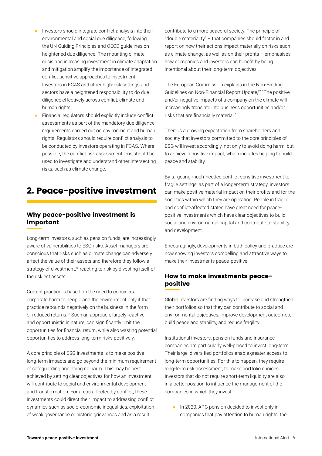- Investors should integrate conflict analysis into their environmental and social due diligence, following the UN Guiding Principles and OECD guidelines on heightened due diligence. The mounting climate crisis and increasing investment in climate adaptation and mitigation amplify the importance of integrated conflict-sensitive approaches to investment. Investors in FCAS and other high-risk settings and sectors have a heightened responsibility to do due diligence effectively across conflict, climate and human rights.
- Financial regulators should explicitly include conflict assessments as part of the mandatory due diligence requirements carried out on environment and human rights. Regulators should require conflict analysis to be conducted by investors operating in FCAS. Where possible, the conflict risk assessment lens should be used to investigate and understand other intersecting risks, such as climate change.

### 2. Peace-positive investment

#### Why peace-positive investment is important

Long-term investors, such as pension funds, are increasingly aware of vulnerabilities to ESG risks. Asset managers are conscious that risks such as climate change can adversely affect the value of their assets and therefore they follow a strategy of divestment,<sup>15</sup> reacting to risk by divesting itself of the riskiest assets.

Current practice is based on the need to consider a corporate harm to people and the environment only if that practice rebounds negatively on the business in the form of reduced returns.<sup>16</sup> Such an approach, largely reactive and opportunistic in nature, can significantly limit the opportunities for financial return, while also wasting potential opportunities to address long-term risks positively.

A core principle of ESG investments is to make positive long-term impacts and go beyond the minimum requirement of safeguarding and doing no harm. This may be best achieved by setting clear objectives for how an investment will contribute to social and environmental development and transformation. For areas affected by conflict, these investments could direct their impact to addressing conflict dynamics such as socio-economic inequalities, exploitation of weak governance or historic grievances and as a result

contribute to a more peaceful society. The principle of "double materiality" – that companies should factor in and report on how their actions impact materially on risks such as climate change, as well as on their profits – emphasises how companies and investors can benefit by being intentional about their long-term objectives.

The European Commission explains in the Non-Binding Guidelines on Non-Financial Report Update,17 "The positive and/or negative impacts of a company on the climate will increasingly translate into business opportunities and/or risks that are financially material."

There is a growing expectation from shareholders and society that investors committed to the core principles of ESG will invest accordingly, not only to avoid doing harm, but to achieve a positive impact, which includes helping to build peace and stability.

By targeting much-needed conflict-sensitive investment to fragile settings, as part of a longer-term strategy, investors can make positive material impact on their profits and for the societies within which they are operating. People in fragile and conflict-affected states have great need for peacepositive investments which have clear objectives to build social and environmental capital and contribute to stability and development.

Encouragingly, developments in both policy and practice are now showing investors compelling and attractive ways to make their investments peace-positive.

#### How to make investments peacepositive

Global investors are finding ways to increase and strengthen their portfolios so that they can contribute to social and environmental objectives, improve development outcomes, build peace and stability, and reduce fragility.

Institutional investors, pension funds and insurance companies are particularly well-placed to invest long-term. Their large, diversified portfolios enable greater access to long-term opportunities. For this to happen, they require long-term risk assessment, to make portfolio choices. Investors that do not require short-term liquidity are also in a better position to influence the management of the companies in which they invest.

● In 2020, APG pension decided to invest only in companies that pay attention to human rights, the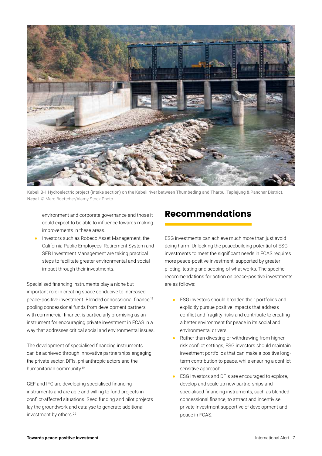

Kabeli B-1 Hydroelectric project (intake section) on the Kabeli river between Thumbeding and Tharpu, Taplejung & Panchar District, Nepal. © Marc Boettcher/Alamy Stock Photo

environment and corporate governance and those it could expect to be able to influence towards making improvements in these areas.

Investors such as [Robeco Asset Management](https://www.robeco.com/nl/), the California Public Employees' Retirement System and [SEB Investment Management](https://sebgroup.com/) are taking practical steps to facilitate greater environmental and social impact through their investments.

Specialised financing instruments play a niche but important role in creating space conducive to increased peace-positive investment. Blended concessional finance,18 pooling concessional funds from development partners with commercial finance, is particularly promising as an instrument for encouraging private investment in FCAS in a way that addresses critical social and environmental issues.

The development of specialised financing instruments can be achieved through innovative partnerships engaging the private sector, DFIs, philanthropic actors and the humanitarian community.<sup>19</sup>

GEF and IFC are developing specialised financing instruments and are able and willing to fund projects in conflict-affected situations. Seed funding and pilot projects lay the groundwork and catalyse to generate additional investment by others.20

### Recommendations

ESG investments can achieve much more than just avoid doing harm. Unlocking the peacebuilding potential of ESG investments to meet the significant needs in FCAS requires more peace-positive investment, supported by greater piloting, testing and scoping of what works. The specific recommendations for action on peace-positive investments are as follows:

- ESG investors should broaden their portfolios and explicitly pursue positive impacts that address conflict and fragility risks and contribute to creating a better environment for peace in its social and environmental drivers.
- Rather than divesting or withdrawing from higherrisk conflict settings, ESG investors should maintain investment portfolios that can make a positive longterm contribution to peace, while ensuring a conflict sensitive approach.
- ESG investors and DFIs are encouraged to explore, develop and scale up new partnerships and specialised financing instruments, such as blended concessional finance, to attract and incentivise private investment supportive of development and peace in FCAS.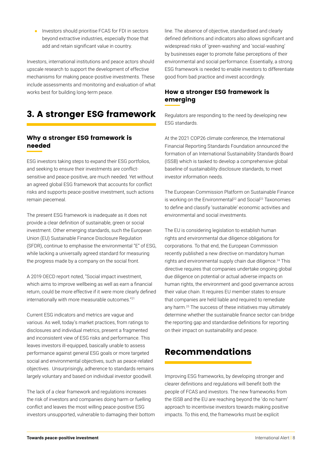Investors should prioritise FCAS for FDI in sectors beyond extractive industries, especially those that add and retain significant value in country.

Investors, international institutions and peace actors should upscale research to support the development of effective mechanisms for making peace-positive investments. These include assessments and monitoring and evaluation of what works best for building long-term peace.

# 3. A stronger ESG framework

#### Why a stronger ESG framework is needed

ESG investors taking steps to expand their ESG portfolios, and seeking to ensure their investments are conflictsensitive and peace-positive, are much needed. Yet without an agreed global ESG framework that accounts for conflict risks and supports peace-positive investment, such actions remain piecemeal.

The present ESG framework is inadequate as it does not provide a clear definition of sustainable, green or social investment. Other emerging standards, such the European Union (EU) Sustainable Finance Disclosure Regulation (SFDR), continue to emphasise the environmental "E" of ESG, while lacking a universally agreed standard for measuring the progress made by a company on the social front.

A 2019 OECD report noted, "Social impact investment, which aims to improve wellbeing as well as earn a financial return, could be more effective if it were more clearly defined internationally with more measurable outcomes."<sup>21</sup>

Current ESG indicators and metrics are vague and various. As well, today's market practices, from ratings to disclosures and individual metrics, present a fragmented and inconsistent view of ESG risks and performance. This leaves investors ill-equipped, basically unable to assess performance against general ESG goals or more targeted social and environmental objectives, such as peace-related objectives. Unsurprisingly, adherence to standards remains largely voluntary and based on individual investor goodwill.

The lack of a clear framework and regulations increases the risk of investors and companies doing harm or fuelling conflict and leaves the most willing peace-positive ESG investors unsupported, vulnerable to damaging their bottom line. The absence of objective, standardised and clearly defined definitions and indicators also allows significant and widespread risks of 'green-washing' and 'social-washing' by businesses eager to promote false perceptions of their environmental and social performance. Essentially, a strong ESG framework is needed to enable investors to differentiate good from bad practice and invest accordingly.

### How a stronger ESG framework is emerging

Regulators are responding to the need by developing new ESG standards.

At the 2021 COP26 climate conference, the International Financial Reporting Standards Foundation announced the formation of an [International Sustainability Standards Board](https://www.ifrs.org/groups/international-sustainability-standards-board/)  [\(ISSB](https://www.ifrs.org/groups/international-sustainability-standards-board/)) which is tasked to develop a comprehensive global baseline of sustainability disclosure standards, to meet investor information needs.

The European Commission Platform on Sustainable Finance is working on the Environmental<sup>22</sup> and Social<sup>23</sup> Taxonomies to define and classify 'sustainable' economic activities and environmental and social investments.

The EU is considering legislation to establish human rights and environmental due diligence obligations for corporations. To that end, the European Commission recently published a new directive on mandatory human rights and environmental supply chain due diligence.<sup>24</sup> This directive requires that companies undertake ongoing global due diligence on potential or actual adverse impacts on human rights, the environment and good governance across their value chain. It requires EU member states to ensure that companies are held liable and required to remediate any harm.<sup>25</sup> The success of these initiatives may ultimately determine whether the sustainable finance sector can bridge the reporting gap and standardise definitions for reporting on their impact on sustainability and peace.

### Recommendations

Improving ESG frameworks, by developing stronger and clearer definitions and regulations will benefit both the people of FCAS and investors. The new frameworks from the ISSB and the EU are reaching beyond the 'do no harm' approach to incentivise investors towards making positive impacts. To this end, the frameworks must be explicit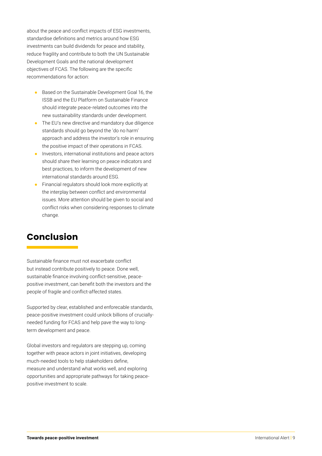about the peace and conflict impacts of ESG investments, standardise definitions and metrics around how ESG investments can build dividends for peace and stability, reduce fragility and contribute to both the UN Sustainable Development Goals and the national development objectives of FCAS. The following are the specific recommendations for action:

- Based on the Sustainable Development Goal 16, the ISSB and the EU Platform on Sustainable Finance should integrate peace-related outcomes into the new sustainability standards under development.
- The EU's new directive and mandatory due diligence standards should go beyond the 'do no harm' approach and address the investor's role in ensuring the positive impact of their operations in FCAS.
- Investors, international institutions and peace actors should share their learning on peace indicators and best practices, to inform the development of new international standards around ESG.
- Financial regulators should look more explicitly at the interplay between conflict and environmental issues. More attention should be given to social and conflict risks when considering responses to climate change.

### Conclusion

Sustainable finance must not exacerbate conflict but instead contribute positively to peace. Done well, sustainable finance involving conflict-sensitive, peacepositive investment, can benefit both the investors and the people of fragile and conflict-affected states.

Supported by clear, established and enforecable standards, peace-positive investment could unlock billions of cruciallyneeded funding for FCAS and help pave the way to longterm development and peace.

Global investors and regulators are stepping up, coming together with peace actors in joint initiatives, developing much-needed tools to help stakeholders define, measure and understand what works well, and exploring opportunities and appropriate pathways for taking peacepositive investment to scale.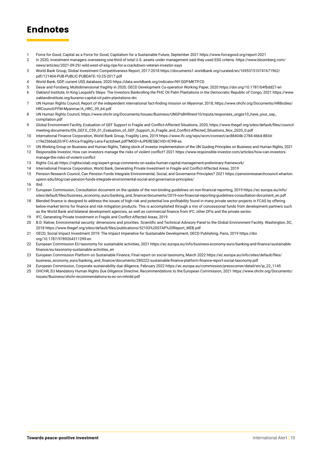## **Endnotes**

- 1 Force for Good, Capital as a Force for Good, Capitalism for a Sustainable Future, September 2021<https://www.forcegood.org/report-2021>
- 2 In 2020, investment managers overseeing one-third of total U.S. assets under management said they used ESG criteria. [https://www.bloomberg.com/](https://www.bloomberg.com/news/articles/2021-09-29/-wild-west-of-esg-ripe-for-a-crackdown-veteran-investor-says) [news/articles/2021-09-29/-wild-west-of-esg-ripe-for-a-crackdown-veteran-investor-says](https://www.bloomberg.com/news/articles/2021-09-29/-wild-west-of-esg-ripe-for-a-crackdown-veteran-investor-says)
- 3 World Bank Group, Global Investment Competitiveness Report, 2017-2018 [https://documents1.worldbank.org/curated/en/169531510741671962/](https://documents1.worldbank.org/curated/en/169531510741671962/pdf/121404-PUB-PUBLIC-PUBDATE-10-25-2017.pdf) [pdf/121404-PUB-PUBLIC-PUBDATE-10-25-2017.pdf](https://documents1.worldbank.org/curated/en/169531510741671962/pdf/121404-PUB-PUBLIC-PUBDATE-10-25-2017.pdf)
- 4 World Bank, GDP, current US\$ database, 2020 <https://data.worldbank.org/indicator/NY.GDP.MKTP.CD>
- 5 Desai and Forsberg, Multidimensional fragility in 2020, OECD Development Co-operation Working Paper, 2020 <https://doi.org/10.1787/b4fbdd27-en>
- 6 Oakland Institute, In King Leopold's Steps: The Investors Bankrolling the PHC Oil Palm Plantations in the Democratic Republic of Congo, 2021 [https://www.](https://www.oaklandinstitute.org/kuramo-capital-oil-palm-plantations-drc) [oaklandinstitute.org/kuramo-capital-oil-palm-plantations-drc](https://www.oaklandinstitute.org/kuramo-capital-oil-palm-plantations-drc)
- 7 UN Human Rights Council, Report of the independent international fact-finding mission on Myanmar, 2018, [https://www.ohchr.org/Documents/HRBodies/](https://www.oaklandinstitute.org/kuramo-capital-oil-palm-plantations-drc) [HRCouncil/FFM-Myanmar/A\\_HRC\\_39\\_64.pdf](https://www.oaklandinstitute.org/kuramo-capital-oil-palm-plantations-drc)
- 8 UN Human Rights Council, [https://www.ohchr.org/Documents/Issues/Business/UNGPsBHRnext10/inputs/responses\\_ungps10\\_have\\_your\\_say\\_](https://www.ohchr.org/sites/default/files/Documents/Issues/Business/UNGPsBHRnext10/inputs/responses_ungps10_have_your_say_compilation.pdf) [compilation.pdf](https://www.ohchr.org/sites/default/files/Documents/Issues/Business/UNGPsBHRnext10/inputs/responses_ungps10_have_your_say_compilation.pdf)
- 9 Global Environment Facility, Evaluation of GEF Support in Fragile and Conflict-Affected Situations, 2020, [https://www.thegef.org/sites/default/files/council](https://www.thegef.org/sites/default/files/council-meeting-documents/EN_GEF.E_C59_01_Evaluation_of_GEF_Support_in_Fragile_and_Conflict-Affected_Situations_Nov_2020_0.pdf)[meeting-documents/EN\\_GEF.E\\_C59\\_01\\_Evaluation\\_of\\_GEF\\_Support\\_in\\_Fragile\\_and\\_Conflict-Affected\\_Situations\\_Nov\\_2020\\_0.pdf](https://www.thegef.org/sites/default/files/council-meeting-documents/EN_GEF.E_C59_01_Evaluation_of_GEF_Support_in_Fragile_and_Conflict-Affected_Situations_Nov_2020_0.pdf)
- 10 International Finance Corporation, World Bank Group, Fragility Lens, 2019 [https://www.ifc.org/wps/wcm/connect/ac88404b-2784-46b4-883d](https://www.ifc.org/wps/wcm/connect/ac88404b-2784-46b4-883d-c19e2566ab20/IFC-Africa-Fragility-Lens-F)[c19e2566ab20/IFC-Africa-Fragility-Lens-Factsheet.pdf?MOD=AJPERES&CVID=lC9W-as](https://www.ifc.org/wps/wcm/connect/ac88404b-2784-46b4-883d-c19e2566ab20/IFC-Africa-Fragility-Lens-F)
- 11 UN Working Group on Business and Human Rights, Taking stock of investor implementation of the UN Guiding Principles on Business and Human Rights, 2021
- 12 Responsible Investor, How can investors manage the risks of violent conflict? 2021 [https://www.responsible-investor.com/articles/how-can-investors](https://www.responsible-investor.com/articles/how-can-investors-manage-the-risks-of-violent-conflict/)[manage-the-risks-of-violent-conflict](https://www.responsible-investor.com/articles/how-can-investors-manage-the-risks-of-violent-conflict/)
- 13 Rights CoLab <https://rightscolab.org/expert-group-comments-on-sasbs-human-capital-management-preliminary-framework/>
- 14 International Finance Corporation, World Bank, Generating Private Investment in Fragile and Conflict-Affected Areas, 2019
- 15 Pension Research Council, Can Pension Funds Integrate Environmental, Social, and Governance Principles? 2021 [https://pensionresearchcouncil.wharton.](https://pensionresearchcouncil.wharton.upenn.edu/blog/can-pension-funds-integrate-environmental-social-and-governance-principles/) [upenn.edu/blog/can-pension-funds-integrate-environmental-social-and-governance-principles/](https://pensionresearchcouncil.wharton.upenn.edu/blog/can-pension-funds-integrate-environmental-social-and-governance-principles/)
- 16 Ibid.
- 17 European Commission, Consultation document on the update of the non-binding guidelines on non-financial reporting, 2019 [https://ec.europa.eu/info/](https://ec.europa.eu/info/sites/default/files/business_economy_euro/banking_and_finance/documents/2019-non-financial-reporting-guidelines-consultation-document_en.pdf) [sites/default/files/business\\_economy\\_euro/banking\\_and\\_finance/documents/2019-non-financial-reporting-guidelines-consultation-document\\_en.pdf](https://ec.europa.eu/info/sites/default/files/business_economy_euro/banking_and_finance/documents/2019-non-financial-reporting-guidelines-consultation-document_en.pdf)
- 18 Blended finance is designed to address the issues of high risk and potential low profitability found in many private sector projects in FCAS by offering below-market terms for finance and risk mitigation products. This is accomplished through a mix of concessional funds from development partners such as the World Bank and bilateral development agencies, as well as commercial finance from IFC, other DFIs and the private sector.
- 19 IFC, Generating Private Investment in Fragile and Conflict-Affected Areas, 2019
- 20 B.D. Ratner, Environmental security: dimensions and priorities. Scientific and Technical Advisory Panel to the Global Environment Facility. Washington, DC, 2018 [https://www.thegef.org/sites/default/files/publications/52103%20STAP%20Report\\_WEB.pdf](https://www.thegef.org/sites/default/files/publications/52103%20STAP%20Report_WEB.pdf)
- 21 OECD, Social Impact Investment 2019: The Impact Imperative for Sustainable Development, OECD Publishing, Paris, 2019 [https://doi.](https://www.oecd-ilibrary.org/development/social-impact-investment-2019_9789264311299-en) [org/10.1787/9789264311299-en](https://www.oecd-ilibrary.org/development/social-impact-investment-2019_9789264311299-en)
- 22 European Commission EU taxonomy for sustainable activities, 2021 [https://ec.europa.eu/info/business-economy-euro/banking-and-finance/sustainable](https://ec.europa.eu/info/business-economy-euro/banking-and-finance/sustainable-finance/eu-taxonomy-sustainable-activities_en)[finance/eu-taxonomy-sustainable-activities\\_en](https://ec.europa.eu/info/business-economy-euro/banking-and-finance/sustainable-finance/eu-taxonomy-sustainable-activities_en)
- 23 European Commission Platform on Sustainable Finance, Final report on social taxonomy, March 2022 [https://ec.europa.eu/info/sites/default/files/](https://ec.europa.eu/info/sites/default/files/business_economy_euro/banking_and_finance/documents/280222-sustainable-finance-platform-finance-report-social-taxonomy.pdf) [business\\_economy\\_euro/banking\\_and\\_finance/documents/280222-sustainable-finance-platform-finance-report-social-taxonomy.pdf](https://ec.europa.eu/info/sites/default/files/business_economy_euro/banking_and_finance/documents/280222-sustainable-finance-platform-finance-report-social-taxonomy.pdf)
- 24 European Commission, Corporate sustainability due diligence, February 2022 [https://ec.europa.eu/commission/presscorner/detail/en/ip\\_22\\_1145](https://ec.europa.eu/commission/presscorner/detail/en/ip_22_1145)
- 25 OHCHR, EU Mandatory Human Rights Due Diligence Directive: Recommendations to the European Commission, 2021 [https://www.ohchr.org/Documents/](https://www.ohchr.org/Documents/Issues/Business/ohchr-recommendations-to-ec-on-mhrdd.pdf ) [Issues/Business/ohchr-recommendations-to-ec-on-mhrdd.pdf](https://www.ohchr.org/Documents/Issues/Business/ohchr-recommendations-to-ec-on-mhrdd.pdf )